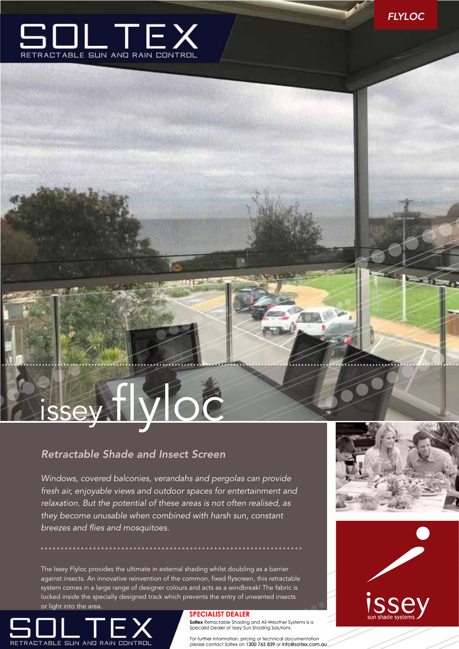

# issey flyloc

## *Retractable Shade and Insect Screen*

*Windows, covered balconies, verandahs and pergolas can provide fresh air, enjoyable views and outdoor spaces for entertainment and relaxation. But the potential of these areas is not often realised, as they become unusable when combined with harsh sun, constant breezes and flies and mosquitoes.*

. . . . . . . . . . . . . . .

**ALLES** 

The Issey Flyloc provides the ultimate in external shading whilst doubling as a barrier against insects. An innovative reinvention of the common, fixed flyscreen, this retractable system comes in a large range of designer colours and acts as a windbreak! The fabric is locked inside the specially designed track which prevents the entry of unwanted insects or light into the area.



### **SPECIALIST DEALER**

Soltex Retractable Shading and All-Weather Systems is a<br>Specalist Dealer of Issey Sun Shading Solutions.

For further information, pricing or technical documentation please contact Soltex on 1300 765 839 or info@soltex.com.au



56.00